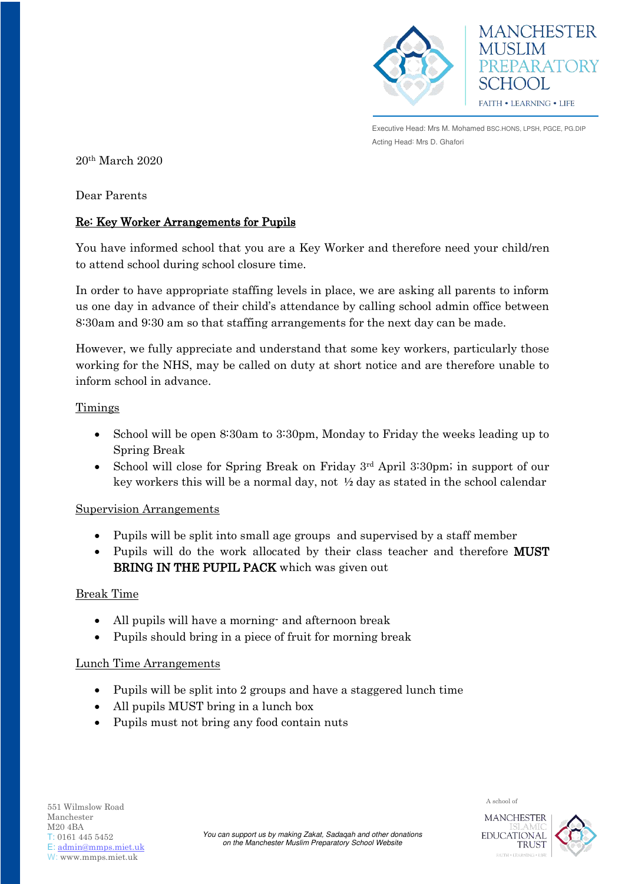



**MANCHESTER** 

Executive Head: Mrs M. Mohamed BSC.HONS, LPSH, PGCE, PG.DIP Acting Head: Mrs D. Ghafori

20th March 2020

Dear Parents

# Re: Key Worker Arrangements for Pupils

You have informed school that you are a Key Worker and therefore need your child/ren to attend school during school closure time.

In order to have appropriate staffing levels in place, we are asking all parents to inform us one day in advance of their child's attendance by calling school admin office between 8:30am and 9:30 am so that staffing arrangements for the next day can be made.

However, we fully appreciate and understand that some key workers, particularly those working for the NHS, may be called on duty at short notice and are therefore unable to inform school in advance.

## **Timings**

- School will be open 8:30am to 3:30pm, Monday to Friday the weeks leading up to Spring Break
- School will close for Spring Break on Friday 3rd April 3:30pm; in support of our key workers this will be a normal day, not ½ day as stated in the school calendar

## Supervision Arrangements

- Pupils will be split into small age groups and supervised by a staff member
- Pupils will do the work allocated by their class teacher and therefore **MUST** BRING IN THE PUPIL PACK which was given out

## Break Time

- All pupils will have a morning- and afternoon break
- Pupils should bring in a piece of fruit for morning break

## Lunch Time Arrangements

- Pupils will be split into 2 groups and have a staggered lunch time
- All pupils MUST bring in a lunch box
- Pupils must not bring any food contain nuts